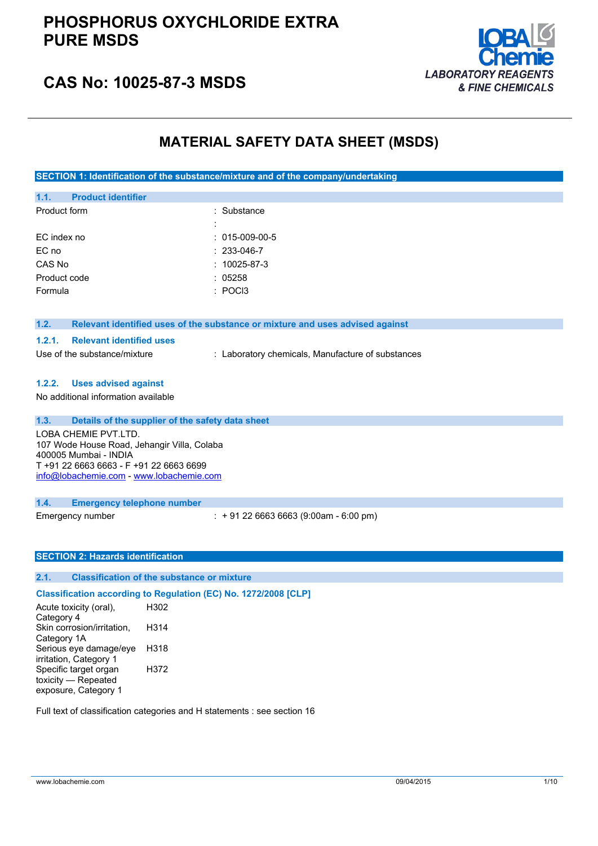## **PHOSPHORUS OXYCHLORIDE EXTRA PURE MSDS**



# **CAS No: 10025-87-3 MSDS**

### **MATERIAL SAFETY DATA SHEET (MSDS)**

**SECTION 1: Identification of the substance/mixture and of the company/undertaking**

| 1.1.         | <b>Product identifier</b> |   |                    |
|--------------|---------------------------|---|--------------------|
| Product form |                           |   | : Substance        |
|              |                           | ÷ |                    |
| EC index no  |                           |   | $: 015-009-00-5$   |
| EC no        |                           |   | $: 233 - 046 - 7$  |
| CAS No       |                           |   | $: 10025 - 87 - 3$ |
| Product code |                           |   | : 05258            |
| Formula      |                           |   | $\pm$ POCI3        |
|              |                           |   |                    |

#### **1.2. Relevant identified uses of the substance or mixture and uses advised against**

#### **1.2.1. Relevant identified uses**

Use of the substance/mixture : Laboratory chemicals, Manufacture of substances

#### **1.2.2. Uses advised against**

No additional information available

| 1.3. | Details of the supplier of the safety data sheet                                                                                                                                    |
|------|-------------------------------------------------------------------------------------------------------------------------------------------------------------------------------------|
|      | LOBA CHEMIE PVT.LTD.<br>107 Wode House Road, Jehangir Villa, Colaba<br>400005 Mumbai - INDIA<br>T +91 22 6663 6663 - F +91 22 6663 6699<br>info@lobachemie.com - www.lobachemie.com |
| 1.4. | <b>Emergency telephone number</b>                                                                                                                                                   |

Emergency number : + 91 22 6663 6663 (9:00am - 6:00 pm)

#### **SECTION 2: Hazards identification**

### **2.1. Classification of the substance or mixture**

**Classification according to Regulation (EC) No. 1272/2008 [CLP]** Acute toxicity (oral), Category 4 H302 Skin corrosion/irritation, Category 1A H314 Serious eye damage/eye irritation, Category 1 H318 Specific target organ toxicity — Repeated exposure, Category 1 H372

Full text of classification categories and H statements : see section 16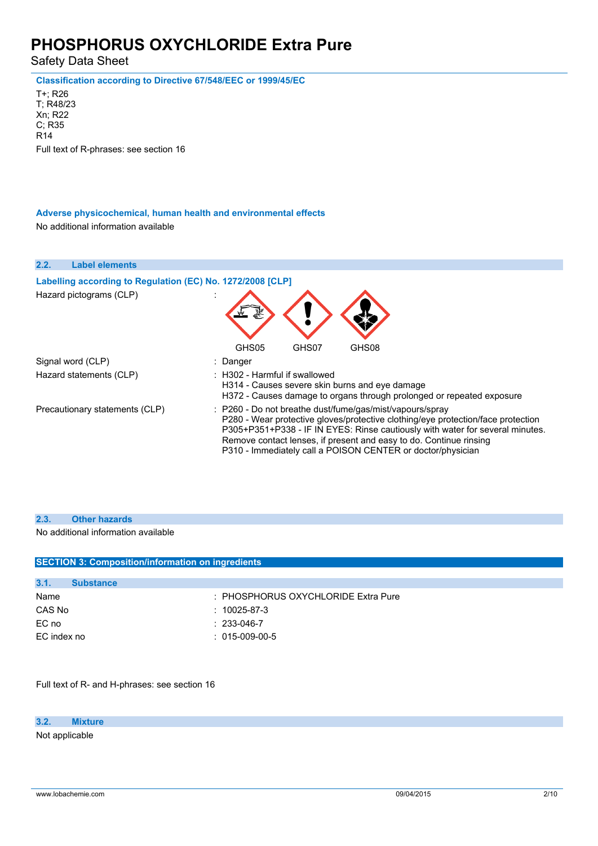Safety Data Sheet

**Classification according to Directive 67/548/EEC or 1999/45/EC**

T+; R26 T; R48/23 Xn; R22 C; R35 R14 Full text of R-phrases: see section 16

#### **Adverse physicochemical, human health and environmental effects**

No additional information available

| 2.2.<br><b>Label elements</b>                                                         |                                                                                                                                                                                                                                                                                                                                                                               |
|---------------------------------------------------------------------------------------|-------------------------------------------------------------------------------------------------------------------------------------------------------------------------------------------------------------------------------------------------------------------------------------------------------------------------------------------------------------------------------|
| Labelling according to Regulation (EC) No. 1272/2008 [CLP]<br>Hazard pictograms (CLP) |                                                                                                                                                                                                                                                                                                                                                                               |
|                                                                                       | GHS08<br>GHS05<br>GHS07                                                                                                                                                                                                                                                                                                                                                       |
| Signal word (CLP)                                                                     | : Danger                                                                                                                                                                                                                                                                                                                                                                      |
| Hazard statements (CLP)                                                               | : H302 - Harmful if swallowed<br>H314 - Causes severe skin burns and eye damage<br>H372 - Causes damage to organs through prolonged or repeated exposure                                                                                                                                                                                                                      |
| Precautionary statements (CLP)                                                        | $\therefore$ P260 - Do not breathe dust/fume/gas/mist/vapours/spray<br>P280 - Wear protective gloves/protective clothing/eye protection/face protection<br>P305+P351+P338 - IF IN EYES: Rinse cautiously with water for several minutes.<br>Remove contact lenses, if present and easy to do. Continue rinsing<br>P310 - Immediately call a POISON CENTER or doctor/physician |

#### **2.3. Other hazards**

No additional information available

| <b>SECTION 3: Composition/information on ingredients</b> |                                     |  |
|----------------------------------------------------------|-------------------------------------|--|
|                                                          |                                     |  |
| 3.1.<br><b>Substance</b>                                 |                                     |  |
| Name                                                     | : PHOSPHORUS OXYCHLORIDE Extra Pure |  |
| CAS No                                                   | $: 10025 - 87 - 3$                  |  |
| EC no                                                    | $: 233 - 046 - 7$                   |  |
| EC index no                                              | $: 015-009-00-5$                    |  |
|                                                          |                                     |  |

Full text of R- and H-phrases: see section 16

**3.2. Mixture**

Not applicable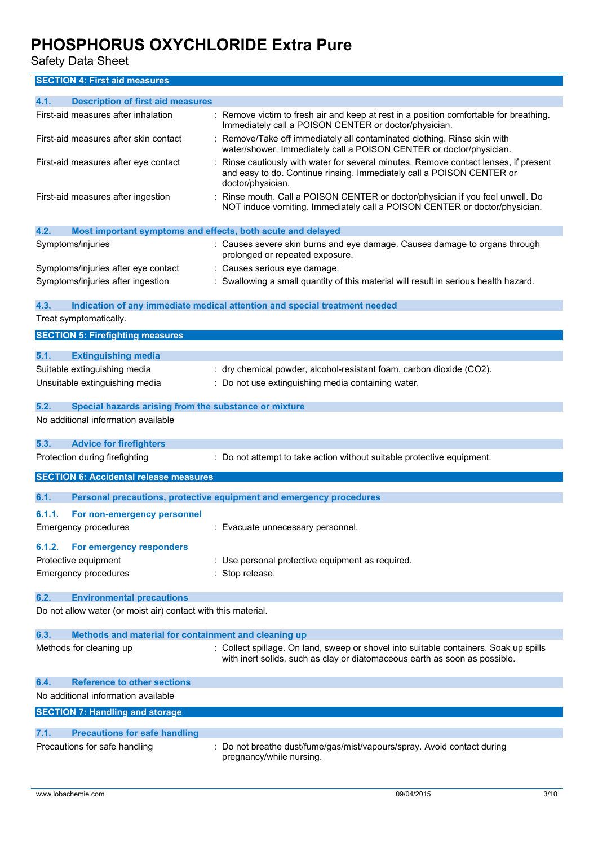Safety Data Sheet

**SECTION 4: First aid measures**

| 4.1.<br><b>Description of first aid measures</b>                    |                                                                                                                                                                                  |
|---------------------------------------------------------------------|----------------------------------------------------------------------------------------------------------------------------------------------------------------------------------|
| First-aid measures after inhalation                                 | : Remove victim to fresh air and keep at rest in a position comfortable for breathing.<br>Immediately call a POISON CENTER or doctor/physician.                                  |
| First-aid measures after skin contact                               | Remove/Take off immediately all contaminated clothing. Rinse skin with<br>water/shower. Immediately call a POISON CENTER or doctor/physician.                                    |
| First-aid measures after eye contact                                | Rinse cautiously with water for several minutes. Remove contact lenses, if present<br>and easy to do. Continue rinsing. Immediately call a POISON CENTER or<br>doctor/physician. |
| First-aid measures after ingestion                                  | : Rinse mouth. Call a POISON CENTER or doctor/physician if you feel unwell. Do<br>NOT induce vomiting. Immediately call a POISON CENTER or doctor/physician.                     |
| 4.2.<br>Most important symptoms and effects, both acute and delayed |                                                                                                                                                                                  |
| Symptoms/injuries                                                   | : Causes severe skin burns and eye damage. Causes damage to organs through<br>prolonged or repeated exposure.                                                                    |
| Symptoms/injuries after eye contact                                 | : Causes serious eye damage.                                                                                                                                                     |
| Symptoms/injuries after ingestion                                   | : Swallowing a small quantity of this material will result in serious health hazard.                                                                                             |
| 4.3.                                                                | Indication of any immediate medical attention and special treatment needed                                                                                                       |
| Treat symptomatically.                                              |                                                                                                                                                                                  |
| <b>SECTION 5: Firefighting measures</b>                             |                                                                                                                                                                                  |
| 5.1.<br><b>Extinguishing media</b>                                  |                                                                                                                                                                                  |
| Suitable extinguishing media                                        | : dry chemical powder, alcohol-resistant foam, carbon dioxide (CO2).                                                                                                             |
| Unsuitable extinguishing media                                      | : Do not use extinguishing media containing water.                                                                                                                               |
|                                                                     |                                                                                                                                                                                  |
| 5.2.<br>Special hazards arising from the substance or mixture       |                                                                                                                                                                                  |
| No additional information available                                 |                                                                                                                                                                                  |
| 5.3.<br><b>Advice for firefighters</b>                              |                                                                                                                                                                                  |
| Protection during firefighting                                      | : Do not attempt to take action without suitable protective equipment.                                                                                                           |
| <b>SECTION 6: Accidental release measures</b>                       |                                                                                                                                                                                  |
| 6.1.                                                                | Personal precautions, protective equipment and emergency procedures                                                                                                              |
| 6.1.1.<br>For non-emergency personnel                               |                                                                                                                                                                                  |
| <b>Emergency procedures</b>                                         | : Evacuate unnecessary personnel.                                                                                                                                                |
| For emergency responders<br>6.1.2.                                  |                                                                                                                                                                                  |
| Protective equipment                                                | : Use personal protective equipment as required.                                                                                                                                 |
| <b>Emergency procedures</b>                                         | : Stop release.                                                                                                                                                                  |
| 6.2.<br><b>Environmental precautions</b>                            |                                                                                                                                                                                  |
| Do not allow water (or moist air) contact with this material.       |                                                                                                                                                                                  |
| 6.3.<br>Methods and material for containment and cleaning up        |                                                                                                                                                                                  |
| Methods for cleaning up                                             | : Collect spillage. On land, sweep or shovel into suitable containers. Soak up spills<br>with inert solids, such as clay or diatomaceous earth as soon as possible.              |
| <b>Reference to other sections</b><br>6.4.                          |                                                                                                                                                                                  |
| No additional information available                                 |                                                                                                                                                                                  |
| <b>SECTION 7: Handling and storage</b>                              |                                                                                                                                                                                  |
| 7.1.<br><b>Precautions for safe handling</b>                        |                                                                                                                                                                                  |
| Precautions for safe handling                                       | : Do not breathe dust/fume/gas/mist/vapours/spray. Avoid contact during                                                                                                          |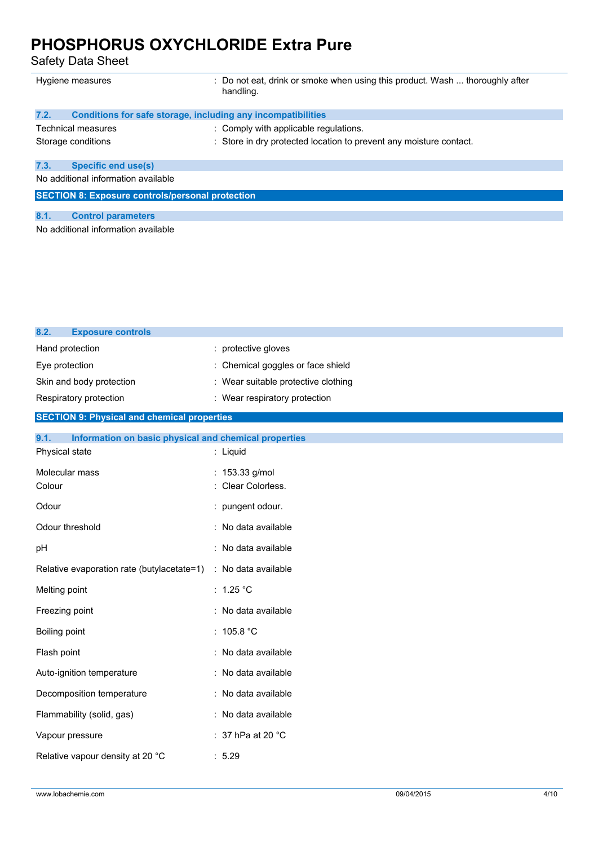Safety Data Sheet

| Hygiene measures                                        | : Do not eat, drink or smoke when using this product. Wash  thoroughly after<br>handling. |  |
|---------------------------------------------------------|-------------------------------------------------------------------------------------------|--|
| 7.2.                                                    | Conditions for safe storage, including any incompatibilities                              |  |
| Technical measures                                      | : Comply with applicable regulations.                                                     |  |
| Storage conditions                                      | : Store in dry protected location to prevent any moisture contact.                        |  |
| <b>Specific end use(s)</b><br>7.3.                      |                                                                                           |  |
| No additional information available                     |                                                                                           |  |
| <b>SECTION 8: Exposure controls/personal protection</b> |                                                                                           |  |
|                                                         |                                                                                           |  |
| 8.1.<br><b>Control parameters</b>                       |                                                                                           |  |
| No additional information available                     |                                                                                           |  |

| <b>Exposure controls</b><br>8.2.                              |                                   |  |
|---------------------------------------------------------------|-----------------------------------|--|
| Hand protection                                               | : protective gloves               |  |
| Eye protection                                                | Chemical goggles or face shield   |  |
| Skin and body protection                                      | Wear suitable protective clothing |  |
| Respiratory protection                                        | : Wear respiratory protection     |  |
| <b>SECTION 9: Physical and chemical properties</b>            |                                   |  |
| 9.1.<br>Information on basic physical and chemical properties |                                   |  |
| Physical state                                                | : Liquid                          |  |
| Molecular mass                                                | : 153.33 g/mol                    |  |
| Colour                                                        | Clear Colorless.                  |  |
| Odour                                                         | : pungent odour.                  |  |
| Odour threshold                                               | No data available                 |  |
| pH                                                            | : No data available               |  |
| Relative evaporation rate (butylacetate=1)                    | : No data available               |  |
| Melting point                                                 | : $1.25 °C$                       |  |
| Freezing point                                                | No data available                 |  |
| Boiling point                                                 | : $105.8 °C$                      |  |
| Flash point                                                   | No data available                 |  |
| Auto-ignition temperature                                     | : No data available               |  |
| Decomposition temperature                                     | No data available                 |  |
| Flammability (solid, gas)                                     | : No data available               |  |
| Vapour pressure                                               | : 37 hPa at 20 $^{\circ}$ C       |  |
| Relative vapour density at 20 °C                              | : 5.29                            |  |
|                                                               |                                   |  |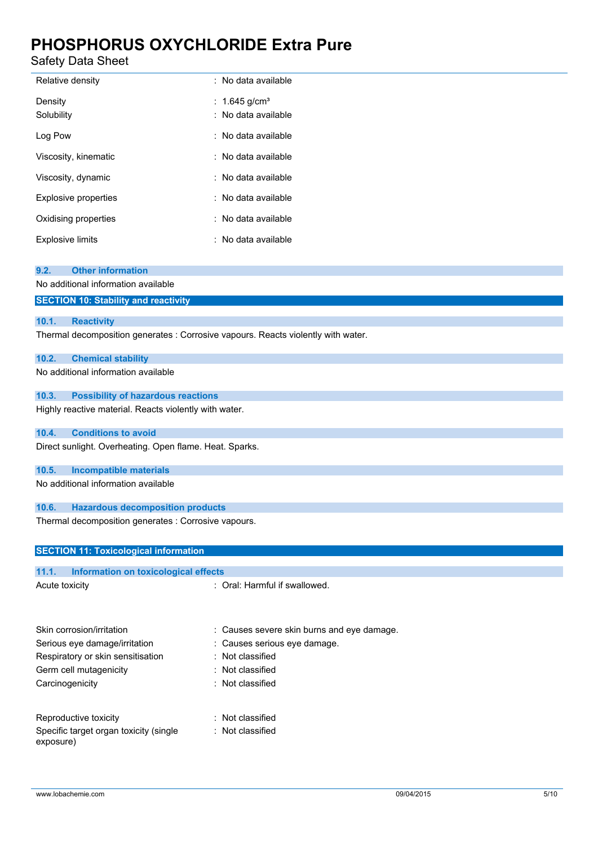Safety Data Sheet

| Relative density            | : No data available                              |
|-----------------------------|--------------------------------------------------|
| Density<br>Solubility       | : 1.645 g/cm <sup>3</sup><br>: No data available |
| Log Pow                     | : No data available                              |
| Viscosity, kinematic        | : No data available                              |
| Viscosity, dynamic          | : No data available                              |
| <b>Explosive properties</b> | : No data available                              |
| Oxidising properties        | : No data available                              |
| <b>Explosive limits</b>     | : No data available                              |

#### **9.2. Other information**

No additional information available

| <b>SECTION 10: Stability and reactivity</b> |  |
|---------------------------------------------|--|
|---------------------------------------------|--|

#### **10.1. Reactivity**

Thermal decomposition generates : Corrosive vapours. Reacts violently with water.

#### **10.2. Chemical stability**

No additional information available

#### **10.3. Possibility of hazardous reactions**

Highly reactive material. Reacts violently with water.

### **10.4. Conditions to avoid**

Direct sunlight. Overheating. Open flame. Heat. Sparks.

#### **10.5. Incompatible materials**

No additional information available

#### **10.6. Hazardous decomposition products**

Thermal decomposition generates : Corrosive vapours.

| <b>SECTION 11: Toxicological information</b>  |                                            |  |
|-----------------------------------------------|--------------------------------------------|--|
|                                               |                                            |  |
| 11.1.<br>Information on toxicological effects |                                            |  |
| Acute toxicity                                | : Oral: Harmful if swallowed.              |  |
|                                               |                                            |  |
| Skin corrosion/irritation                     | : Causes severe skin burns and eye damage. |  |
| Serious eye damage/irritation                 | : Causes serious eye damage.               |  |
| Respiratory or skin sensitisation             | : Not classified                           |  |
| Germ cell mutagenicity                        | $:$ Not classified                         |  |
| Carcinogenicity                               | $:$ Not classified                         |  |
|                                               |                                            |  |

| Reproductive toxicity                  | : Not classified |
|----------------------------------------|------------------|
| Specific target organ toxicity (single | : Not classified |
| exposure)                              |                  |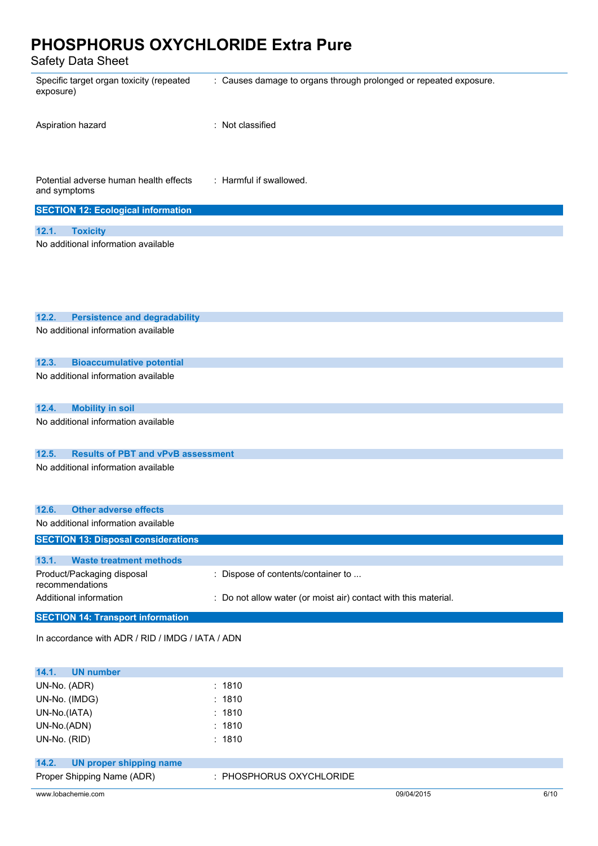Safety Data Sheet

| Salely Dala Sheet                                      |                                                                   |
|--------------------------------------------------------|-------------------------------------------------------------------|
| Specific target organ toxicity (repeated<br>exposure)  | : Causes damage to organs through prolonged or repeated exposure. |
| Aspiration hazard                                      | : Not classified                                                  |
| Potential adverse human health effects<br>and symptoms | : Harmful if swallowed.                                           |
| <b>SECTION 12: Ecological information</b>              |                                                                   |
|                                                        |                                                                   |
| 12.1.<br><b>Toxicity</b>                               |                                                                   |
| No additional information available                    |                                                                   |
|                                                        |                                                                   |
|                                                        |                                                                   |
|                                                        |                                                                   |
|                                                        |                                                                   |
| 12.2.<br><b>Persistence and degradability</b>          |                                                                   |
| No additional information available                    |                                                                   |
|                                                        |                                                                   |
|                                                        |                                                                   |
| 12.3.<br><b>Bioaccumulative potential</b>              |                                                                   |
| No additional information available                    |                                                                   |
|                                                        |                                                                   |
| <b>Mobility in soil</b><br>12.4.                       |                                                                   |
| No additional information available                    |                                                                   |
|                                                        |                                                                   |
| <b>Results of PBT and vPvB assessment</b><br>12.5.     |                                                                   |
| No additional information available                    |                                                                   |
|                                                        |                                                                   |
|                                                        |                                                                   |
|                                                        |                                                                   |
| 12.6.<br><b>Other adverse effects</b>                  |                                                                   |
| No additional information available                    |                                                                   |
| <b>SECTION 13: Disposal considerations</b>             |                                                                   |
| 13.1.<br><b>Waste treatment methods</b>                |                                                                   |
| Product/Packaging disposal                             | : Dispose of contents/container to                                |
| recommendations                                        |                                                                   |
| Additional information                                 | : Do not allow water (or moist air) contact with this material.   |
| <b>SECTION 14: Transport information</b>               |                                                                   |
|                                                        |                                                                   |
| In accordance with ADR / RID / IMDG / IATA / ADN       |                                                                   |

| <b>UN number</b><br>14.1.        |                          |            |      |
|----------------------------------|--------------------------|------------|------|
| UN-No. (ADR)                     | : 1810                   |            |      |
| UN-No. (IMDG)                    | : 1810                   |            |      |
| UN-No.(IATA)                     | : 1810                   |            |      |
| UN-No.(ADN)                      | : 1810                   |            |      |
| UN-No. (RID)                     | : 1810                   |            |      |
|                                  |                          |            |      |
| 14.2.<br>UN proper shipping name |                          |            |      |
| Proper Shipping Name (ADR)       | : PHOSPHORUS OXYCHLORIDE |            |      |
| www.lobachemie.com               |                          | 09/04/2015 | 6/10 |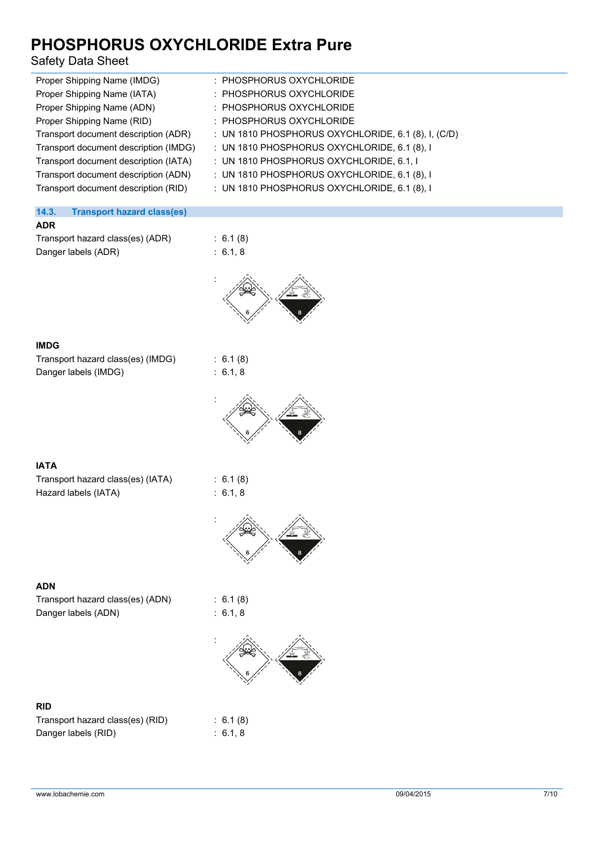### Safety Data Sheet

| Proper Shipping Name (IMDG)           | : PHOSPHORUS OXYCHLORIDE                              |
|---------------------------------------|-------------------------------------------------------|
| Proper Shipping Name (IATA)           | : PHOSPHORUS OXYCHLORIDE                              |
| Proper Shipping Name (ADN)            | : PHOSPHORUS OXYCHLORIDE                              |
| Proper Shipping Name (RID)            | : PHOSPHORUS OXYCHLORIDE                              |
| Transport document description (ADR)  | : UN 1810 PHOSPHORUS OXYCHLORIDE, 6.1 (8), I, $(C/D)$ |
| Transport document description (IMDG) | : UN 1810 PHOSPHORUS OXYCHLORIDE, 6.1 (8), I          |
| Transport document description (IATA) | : UN 1810 PHOSPHORUS OXYCHLORIDE, 6.1, I              |
| Transport document description (ADN)  | : UN 1810 PHOSPHORUS OXYCHLORIDE, 6.1 (8), I          |
| Transport document description (RID)  | : UN 1810 PHOSPHORUS OXYCHLORIDE, 6.1 (8), I          |
|                                       |                                                       |

### **14.3. Transport hazard class(es)**

| <b>ADR</b>                       |                     |
|----------------------------------|---------------------|
| Transport hazard class(es) (ADR) | :6.1(8              |
| Danger labels (ADR)              | $\therefore$ 6.1, 8 |

 $5.6.1(8)$ 



#### **IMDG**

| Transport hazard class(es) (IMDG) |  |
|-----------------------------------|--|
| Danger labels (IMDG)              |  |

 $: 6.1 (8)$  $: 6.1, 8$ 



### **IATA**

| Transport hazard class(es) (IATA) |
|-----------------------------------|
| Hazard labels (IATA)              |

 $5.6.1(8)$ :  $6.1, 8$ 



### **ADN**

Transport hazard class(es) (ADN) : 6.1 (8) Danger labels (ADN) is a finite state of the state of the state of the state of the state of the state of the state of the state of the state of the state of the state of the state of the state of the state of the state of

|        | 0. I (ö) |
|--------|----------|
| 6.1, 8 |          |

 $6.1 (8)$  $6.1, 8$ 



### **RID**

| Transport hazard class(es) (RID) |  |
|----------------------------------|--|
| Danger labels (RID)              |  |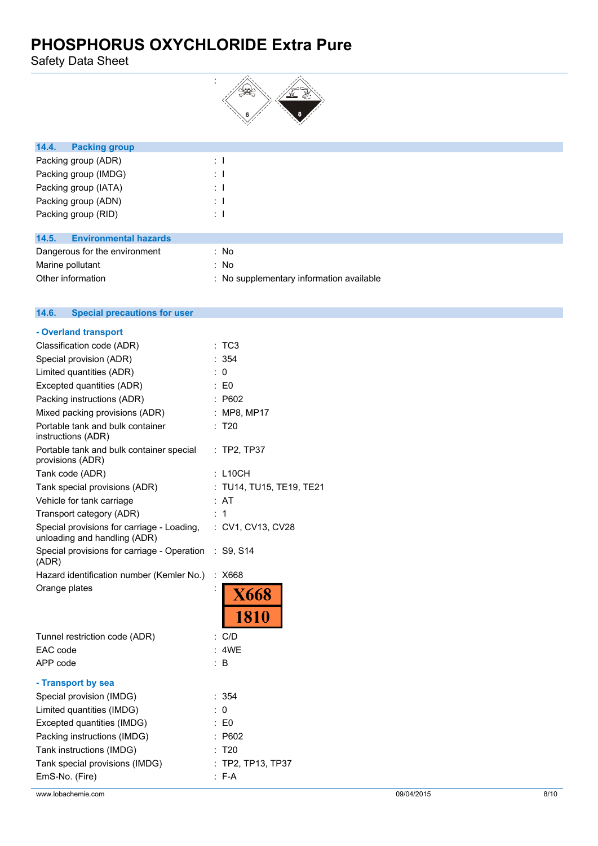Safety Data Sheet



| 14.4.<br><b>Packing group</b>        |                |  |  |
|--------------------------------------|----------------|--|--|
| Packing group (ADR)                  | ÷П             |  |  |
| Packing group (IMDG)                 | $\therefore$ 1 |  |  |
| Packing group (IATA)                 | ÷              |  |  |
| Packing group (ADN)                  | ÷              |  |  |
| Packing group (RID)                  | ÷Ι             |  |  |
|                                      |                |  |  |
| 14.5<br><b>Environmental hazards</b> |                |  |  |

| 14.9. ENVIDIMENIAI HAZAIUS    |                                          |
|-------------------------------|------------------------------------------|
| Dangerous for the environment | : No                                     |
| Marine pollutant              | : No                                     |
| Other information             | : No supplementary information available |

#### $14.6.$ **14.6. Special precautions for user**

| - Overland transport                                                       |                        |
|----------------------------------------------------------------------------|------------------------|
| Classification code (ADR)                                                  | : ТСЗ                  |
| Special provision (ADR)                                                    | : 354                  |
| Limited quantities (ADR)                                                   | 0                      |
| Excepted quantities (ADR)                                                  | $\therefore$ E0        |
| Packing instructions (ADR)                                                 | : P602                 |
| Mixed packing provisions (ADR)                                             | : MP8, MP17            |
| Portable tank and bulk container<br>instructions (ADR)                     | T <sub>20</sub>        |
| Portable tank and bulk container special<br>provisions (ADR)               | $:$ TP2, TP37          |
| Tank code (ADR)                                                            | : L10CH                |
| Tank special provisions (ADR)                                              | TU14, TU15, TE19, TE21 |
| Vehicle for tank carriage                                                  | : AT                   |
| Transport category (ADR)                                                   | : 1                    |
| Special provisions for carriage - Loading,<br>unloading and handling (ADR) | : CV1, CV13, CV28      |
| Special provisions for carriage - Operation<br>(ADR)                       | : S9, S14              |
| Hazard identification number (Kemler No.)                                  | : X668                 |
| Orange plates                                                              | <b>X668</b><br>1810    |
|                                                                            |                        |
| Tunnel restriction code (ADR)                                              | : C/D                  |
| EAC code                                                                   | : 4WF                  |
| APP code                                                                   | ÷.<br>B                |
| - Transport by sea                                                         |                        |
| Special provision (IMDG)                                                   | : 354                  |
| Limited quantities (IMDG)                                                  | : 0                    |
| Excepted quantities (IMDG)                                                 | : E0                   |
| Packing instructions (IMDG)                                                | P602                   |
| Tank instructions (IMDG)                                                   | T <sub>20</sub>        |
| Tank special provisions (IMDG)                                             | TP2, TP13, TP37        |
| EmS-No. (Fire)                                                             | $: F-A$                |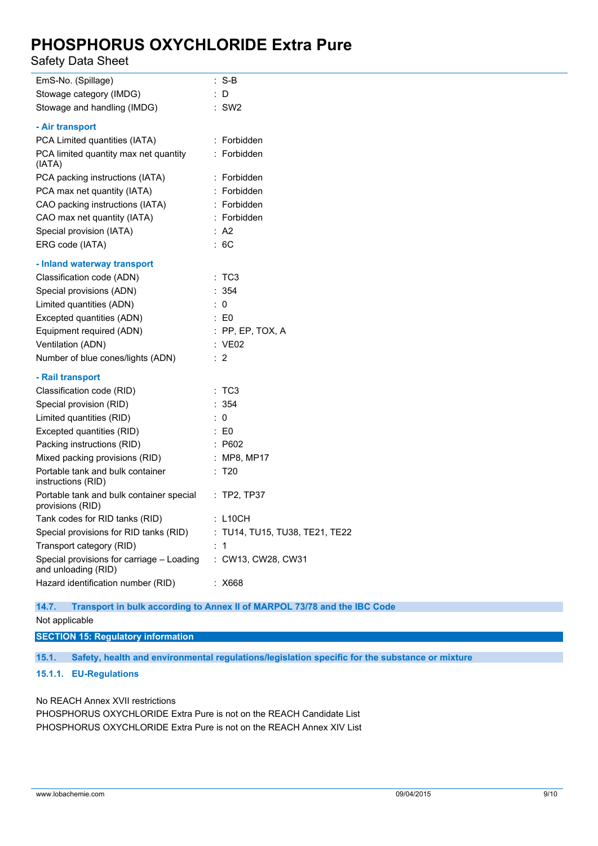Safety Data Sheet

| EmS-No. (Spillage)                                               | $: S-B$                        |
|------------------------------------------------------------------|--------------------------------|
| Stowage category (IMDG)                                          | : D                            |
| Stowage and handling (IMDG)                                      | $:$ SW2                        |
| - Air transport                                                  |                                |
| PCA Limited quantities (IATA)                                    | : Forbidden                    |
| PCA limited quantity max net quantity<br>(IATA)                  | : Forbidden                    |
| PCA packing instructions (IATA)                                  | : Forbidden                    |
| PCA max net quantity (IATA)                                      | : Forbidden                    |
| CAO packing instructions (IATA)                                  | : Forbidden                    |
| CAO max net quantity (IATA)                                      | : Forbidden                    |
| Special provision (IATA)                                         | : A2                           |
| ERG code (IATA)                                                  | :6C                            |
| - Inland waterway transport                                      |                                |
| Classification code (ADN)                                        | :TC3                           |
| Special provisions (ADN)                                         | : 354                          |
| Limited quantities (ADN)                                         | $\therefore$ 0                 |
| Excepted quantities (ADN)                                        | $\therefore$ E0                |
| Equipment required (ADN)                                         | $:$ PP, EP, TOX, A             |
| Ventilation (ADN)                                                | : VE02                         |
| Number of blue cones/lights (ADN)                                | $\therefore$ 2                 |
| - Rail transport                                                 |                                |
| Classification code (RID)                                        | :TC3                           |
| Special provision (RID)                                          | : 354                          |
| Limited quantities (RID)                                         | $\therefore$ 0                 |
| Excepted quantities (RID)                                        | $\therefore$ EO                |
| Packing instructions (RID)                                       | $\therefore$ P602              |
| Mixed packing provisions (RID)                                   | : MP8, MP17                    |
| Portable tank and bulk container<br>instructions (RID)           | : T20                          |
| Portable tank and bulk container special<br>provisions (RID)     | : TP2, TP37                    |
| Tank codes for RID tanks (RID)                                   | : L10CH                        |
| Special provisions for RID tanks (RID)                           | : TU14, TU15, TU38, TE21, TE22 |
| Transport category (RID)                                         | : 1                            |
| Special provisions for carriage - Loading<br>and unloading (RID) | : CW13, CW28, CW31             |
| Hazard identification number (RID)                               | : X668                         |

**14.7. Transport in bulk according to Annex II of MARPOL 73/78 and the IBC Code**

Not applicable

**SECTION 15: Regulatory information**

**15.1. Safety, health and environmental regulations/legislation specific for the substance or mixture**

### **15.1.1. EU-Regulations**

No REACH Annex XVII restrictions

PHOSPHORUS OXYCHLORIDE Extra Pure is not on the REACH Candidate List PHOSPHORUS OXYCHLORIDE Extra Pure is not on the REACH Annex XIV List